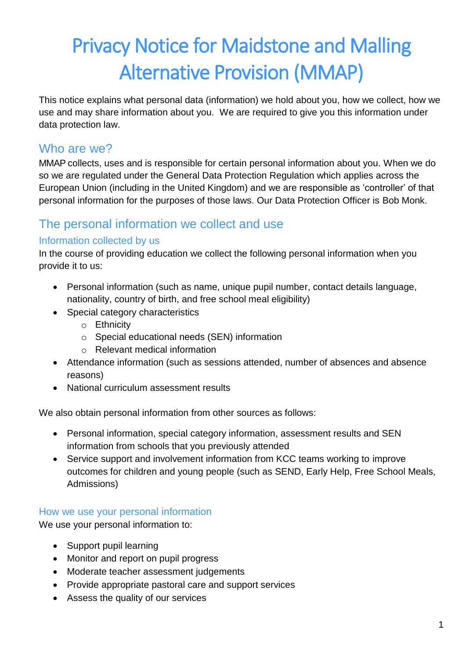# Privacy Notice for Maidstone and Malling Alternative Provision (MMAP)

This notice explains what personal data (information) we hold about you, how we collect, how we use and may share information about you. We are required to give you this information under data protection law.

# Who are we?

MMAP collects, uses and is responsible for certain personal information about you. When we do so we are regulated under the General Data Protection Regulation which applies across the European Union (including in the United Kingdom) and we are responsible as 'controller' of that personal information for the purposes of those laws. Our Data Protection Officer is Bob Monk.

# The personal information we collect and use

#### Information collected by us

In the course of providing education we collect the following personal information when you provide it to us:

- Personal information (such as name, unique pupil number, contact details language, nationality, country of birth, and free school meal eligibility)
- Special category characteristics
	- o Ethnicity
	- o Special educational needs (SEN) information
	- o Relevant medical information
- Attendance information (such as sessions attended, number of absences and absence reasons)
- National curriculum assessment results

We also obtain personal information from other sources as follows:

- Personal information, special category information, assessment results and SEN information from schools that you previously attended
- Service support and involvement information from KCC teams working to improve outcomes for children and young people (such as SEND, Early Help, Free School Meals, Admissions)

#### How we use your personal information

We use your personal information to:

- Support pupil learning
- Monitor and report on pupil progress
- Moderate teacher assessment judgements
- Provide appropriate pastoral care and support services
- Assess the quality of our services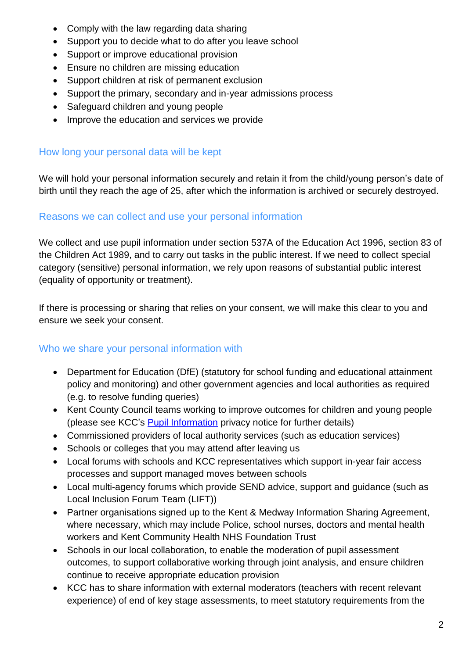- Comply with the law regarding data sharing
- Support you to decide what to do after you leave school
- Support or improve educational provision
- Ensure no children are missing education
- Support children at risk of permanent exclusion
- Support the primary, secondary and in-year admissions process
- Safeguard children and young people
- Improve the education and services we provide

#### How long your personal data will be kept

We will hold your personal information securely and retain it from the child/young person's date of birth until they reach the age of 25, after which the information is archived or securely destroyed.

#### Reasons we can collect and use your personal information

We collect and use pupil information under section 537A of the Education Act 1996, section 83 of the Children Act 1989, and to carry out tasks in the public interest. If we need to collect special category (sensitive) personal information, we rely upon reasons of substantial public interest (equality of opportunity or treatment).

If there is processing or sharing that relies on your consent, we will make this clear to you and ensure we seek your consent.

#### Who we share your personal information with

- Department for Education (DfE) (statutory for school funding and educational attainment policy and monitoring) and other government agencies and local authorities as required (e.g. to resolve funding queries)
- Kent County Council teams working to improve outcomes for children and young people (please see KCC's [Pupil Information](https://www.kent.gov.uk/about-the-council/information-and-data/access-to-information/gdpr-privacy-notices/education/pupil-information-privacy-notice) privacy notice for further details)
- Commissioned providers of local authority services (such as education services)
- Schools or colleges that you may attend after leaving us
- Local forums with schools and KCC representatives which support in-year fair access processes and support managed moves between schools
- Local multi-agency forums which provide SEND advice, support and guidance (such as Local Inclusion Forum Team (LIFT))
- Partner organisations signed up to the Kent & Medway Information Sharing Agreement, where necessary, which may include Police, school nurses, doctors and mental health workers and Kent Community Health NHS Foundation Trust
- Schools in our local collaboration, to enable the moderation of pupil assessment outcomes, to support collaborative working through joint analysis, and ensure children continue to receive appropriate education provision
- KCC has to share information with external moderators (teachers with recent relevant experience) of end of key stage assessments, to meet statutory requirements from the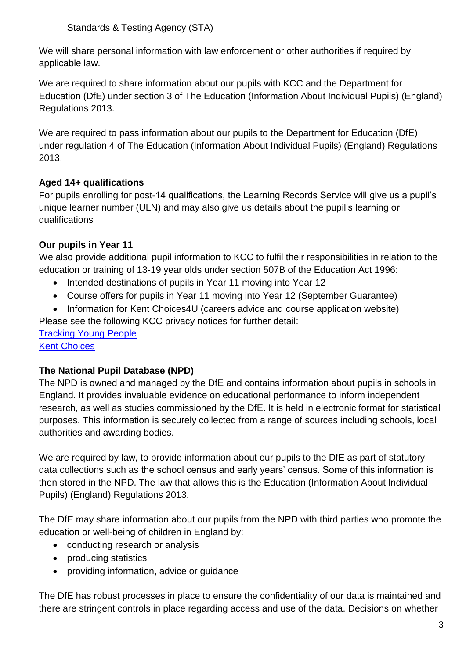Standards & Testing Agency (STA)

We will share personal information with law enforcement or other authorities if required by applicable law.

We are required to share information about our pupils with KCC and the Department for Education (DfE) under section 3 of The Education (Information About Individual Pupils) (England) Regulations 2013.

We are required to pass information about our pupils to the Department for Education (DfE) under regulation 4 of The Education (Information About Individual Pupils) (England) Regulations 2013.

#### **Aged 14+ qualifications**

For pupils enrolling for post-14 qualifications, the Learning Records Service will give us a pupil's unique learner number (ULN) and may also give us details about the pupil's learning or qualifications

### **Our pupils in Year 11**

We also provide additional pupil information to KCC to fulfil their responsibilities in relation to the education or training of 13-19 year olds under section 507B of the Education Act 1996:

- Intended destinations of pupils in Year 11 moving into Year 12
- Course offers for pupils in Year 11 moving into Year 12 (September Guarantee)
- Information for Kent Choices4U (careers advice and course application website)

Please see the following KCC privacy notices for further detail:

[Tracking Young](https://www.kent.gov.uk/about-the-council/information-and-data/access-to-information/gdpr-privacy-notices/education/cype-tracking-young-people-notice) People [Kent Choices](https://www.kent.gov.uk/about-the-council/information-and-data/access-to-information/gdpr-privacy-notices/education/kentchoices-privacy-notice)

#### **The National Pupil Database (NPD)**

The NPD is owned and managed by the DfE and contains information about pupils in schools in England. It provides invaluable evidence on educational performance to inform independent research, as well as studies commissioned by the DfE. It is held in electronic format for statistical purposes. This information is securely collected from a range of sources including schools, local authorities and awarding bodies.

We are required by law, to provide information about our pupils to the DfE as part of statutory data collections such as the school census and early years' census. Some of this information is then stored in the NPD. The law that allows this is the Education (Information About Individual Pupils) (England) Regulations 2013.

The DfE may share information about our pupils from the NPD with third parties who promote the education or well-being of children in England by:

- conducting research or analysis
- producing statistics
- providing information, advice or guidance

The DfE has robust processes in place to ensure the confidentiality of our data is maintained and there are stringent controls in place regarding access and use of the data. Decisions on whether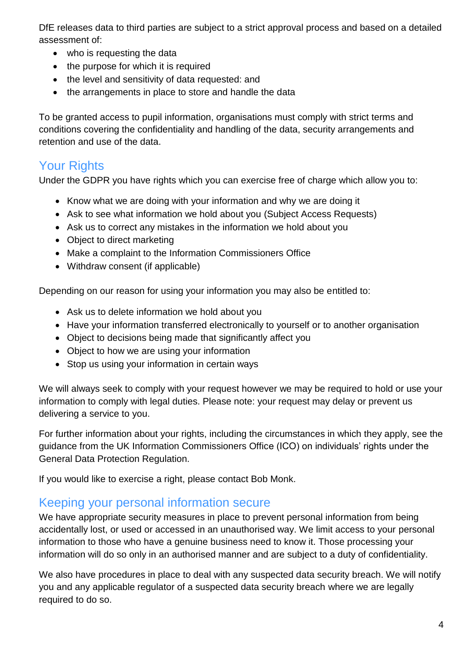DfE releases data to third parties are subject to a strict approval process and based on a detailed assessment of:

- who is requesting the data
- the purpose for which it is required
- the level and sensitivity of data requested: and
- the arrangements in place to store and handle the data

To be granted access to pupil information, organisations must comply with strict terms and conditions covering the confidentiality and handling of the data, security arrangements and retention and use of the data.

# Your Rights

Under the GDPR you have rights which you can exercise free of charge which allow you to:

- Know what we are doing with your information and why we are doing it
- Ask to see what information we hold about you (Subject Access Requests)
- Ask us to correct any mistakes in the information we hold about you
- Object to direct marketing
- Make a complaint to the Information Commissioners Office
- Withdraw consent (if applicable)

Depending on our reason for using your information you may also be entitled to:

- Ask us to delete information we hold about you
- Have your information transferred electronically to yourself or to another organisation
- Object to decisions being made that significantly affect you
- Object to how we are using your information
- Stop us using your information in certain ways

We will always seek to comply with your request however we may be required to hold or use your information to comply with legal duties. Please note: your request may delay or prevent us delivering a service to you.

For further information about your rights, including the circumstances in which they apply, see the guidance from the UK Information Commissioners Office (ICO) on individuals' rights under the General Data Protection Regulation.

If you would like to exercise a right, please contact Bob Monk.

## Keeping your personal information secure

We have appropriate security measures in place to prevent personal information from being accidentally lost, or used or accessed in an unauthorised way. We limit access to your personal information to those who have a genuine business need to know it. Those processing your information will do so only in an authorised manner and are subject to a duty of confidentiality.

We also have procedures in place to deal with any suspected data security breach. We will notify you and any applicable regulator of a suspected data security breach where we are legally required to do so.